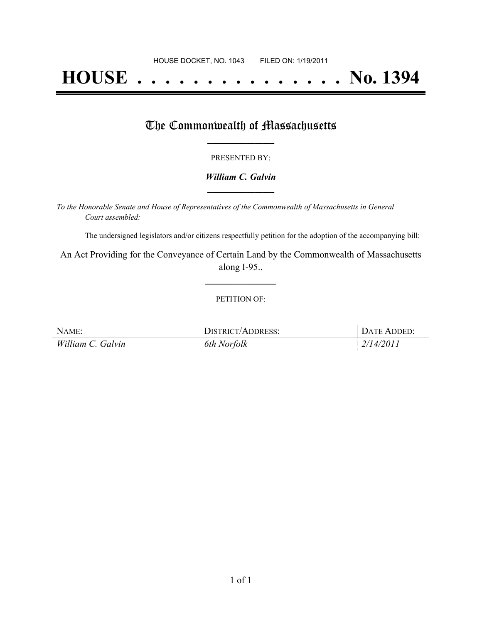# **HOUSE . . . . . . . . . . . . . . . No. 1394**

## The Commonwealth of Massachusetts

#### PRESENTED BY:

#### *William C. Galvin* **\_\_\_\_\_\_\_\_\_\_\_\_\_\_\_\_\_**

*To the Honorable Senate and House of Representatives of the Commonwealth of Massachusetts in General Court assembled:*

The undersigned legislators and/or citizens respectfully petition for the adoption of the accompanying bill:

An Act Providing for the Conveyance of Certain Land by the Commonwealth of Massachusetts along I-95..

**\_\_\_\_\_\_\_\_\_\_\_\_\_\_\_**

#### PETITION OF:

| NAME:             | DISTRICT/ADDRESS: | DATE ADDED: |
|-------------------|-------------------|-------------|
| William C. Galvin | 6th Norfolk       | 2/14/2011   |